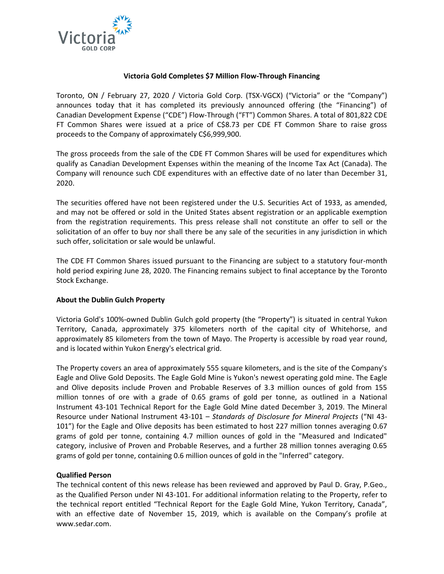

### **Victoria Gold Completes \$7 Million Flow-Through Financing**

Toronto, ON / February 27, 2020 / Victoria Gold Corp. (TSX-VGCX) ("Victoria" or the "Company") announces today that it has completed its previously announced offering (the "Financing") of Canadian Development Expense ("CDE") Flow-Through ("FT") Common Shares. A total of 801,822 CDE FT Common Shares were issued at a price of C\$8.73 per CDE FT Common Share to raise gross proceeds to the Company of approximately C\$6,999,900.

The gross proceeds from the sale of the CDE FT Common Shares will be used for expenditures which qualify as Canadian Development Expenses within the meaning of the Income Tax Act (Canada). The Company will renounce such CDE expenditures with an effective date of no later than December 31, 2020.

The securities offered have not been registered under the U.S. Securities Act of 1933, as amended, and may not be offered or sold in the United States absent registration or an applicable exemption from the registration requirements. This press release shall not constitute an offer to sell or the solicitation of an offer to buy nor shall there be any sale of the securities in any jurisdiction in which such offer, solicitation or sale would be unlawful.

The CDE FT Common Shares issued pursuant to the Financing are subject to a statutory four-month hold period expiring June 28, 2020. The Financing remains subject to final acceptance by the Toronto Stock Exchange.

# **About the Dublin Gulch Property**

Victoria Gold's 100%-owned Dublin Gulch gold property (the "Property") is situated in central Yukon Territory, Canada, approximately 375 kilometers north of the capital city of Whitehorse, and approximately 85 kilometers from the town of Mayo. The Property is accessible by road year round, and is located within Yukon Energy's electrical grid.

The Property covers an area of approximately 555 square kilometers, and is the site of the Company's Eagle and Olive Gold Deposits. The Eagle Gold Mine is Yukon's newest operating gold mine. The Eagle and Olive deposits include Proven and Probable Reserves of 3.3 million ounces of gold from 155 million tonnes of ore with a grade of 0.65 grams of gold per tonne, as outlined in a National Instrument 43-101 Technical Report for the Eagle Gold Mine dated December 3, 2019. The Mineral Resource under National Instrument 43-101 – *Standards of Disclosure for Mineral Projects* ("NI 43- 101") for the Eagle and Olive deposits has been estimated to host 227 million tonnes averaging 0.67 grams of gold per tonne, containing 4.7 million ounces of gold in the "Measured and Indicated" category, inclusive of Proven and Probable Reserves, and a further 28 million tonnes averaging 0.65 grams of gold per tonne, containing 0.6 million ounces of gold in the "Inferred" category.

### **Qualified Person**

The technical content of this news release has been reviewed and approved by Paul D. Gray, P.Geo., as the Qualified Person under NI 43-101. For additional information relating to the Property, refer to the technical report entitled "Technical Report for the Eagle Gold Mine, Yukon Territory, Canada", with an effective date of November 15, 2019, which is available on the Company's profile at www.sedar.com.